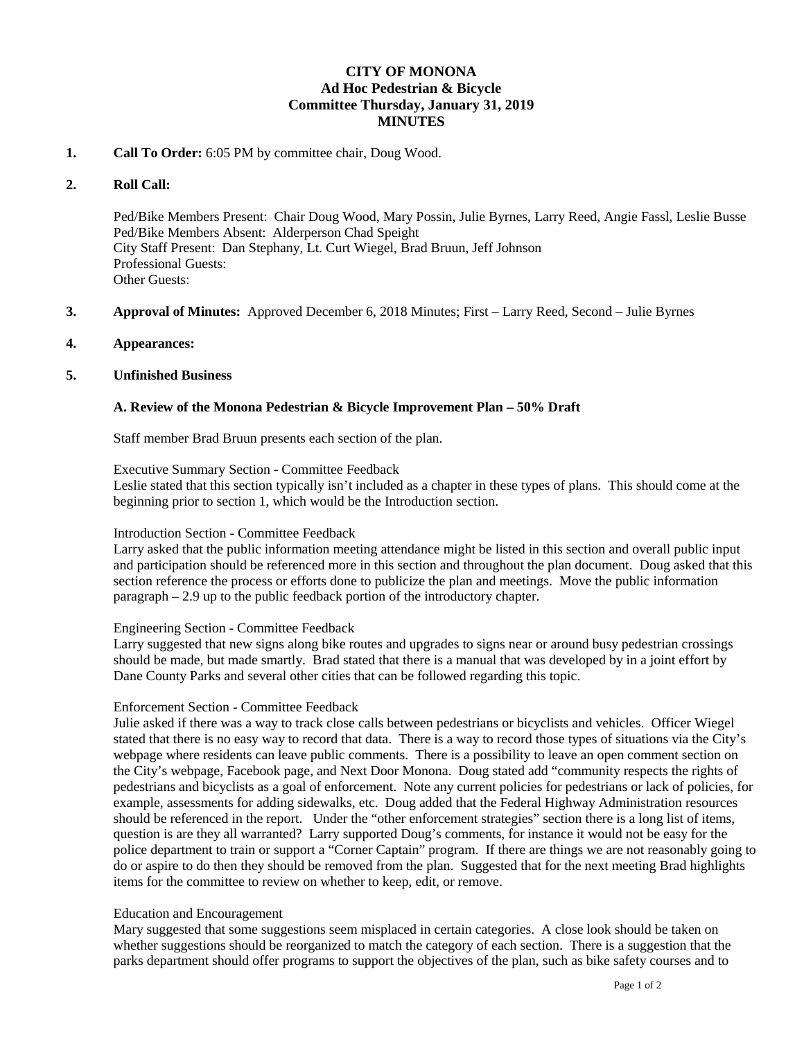# **CITY OF MONONA Ad Hoc Pedestrian & Bicycle Committee Thursday, January 31, 2019 MINUTES**

### **1. Call To Order:** 6:05 PM by committee chair, Doug Wood.

### **2. Roll Call:**

Ped/Bike Members Present: Chair Doug Wood, Mary Possin, Julie Byrnes, Larry Reed, Angie Fassl, Leslie Busse Ped/Bike Members Absent: Alderperson Chad Speight City Staff Present: Dan Stephany, Lt. Curt Wiegel, Brad Bruun, Jeff Johnson Professional Guests: Other Guests:

- **3. Approval of Minutes:** Approved December 6, 2018 Minutes; First Larry Reed, Second Julie Byrnes
- **4. Appearances:**

## **5. Unfinished Business**

## **A. Review of the Monona Pedestrian & Bicycle Improvement Plan – 50% Draft**

Staff member Brad Bruun presents each section of the plan.

Executive Summary Section - Committee Feedback

Leslie stated that this section typically isn't included as a chapter in these types of plans. This should come at the beginning prior to section 1, which would be the Introduction section.

#### Introduction Section - Committee Feedback

Larry asked that the public information meeting attendance might be listed in this section and overall public input and participation should be referenced more in this section and throughout the plan document. Doug asked that this section reference the process or efforts done to publicize the plan and meetings. Move the public information paragraph – 2.9 up to the public feedback portion of the introductory chapter.

Engineering Section - Committee Feedback

Larry suggested that new signs along bike routes and upgrades to signs near or around busy pedestrian crossings should be made, but made smartly. Brad stated that there is a manual that was developed by in a joint effort by Dane County Parks and several other cities that can be followed regarding this topic.

#### Enforcement Section - Committee Feedback

Julie asked if there was a way to track close calls between pedestrians or bicyclists and vehicles. Officer Wiegel stated that there is no easy way to record that data. There is a way to record those types of situations via the City's webpage where residents can leave public comments. There is a possibility to leave an open comment section on the City's webpage, Facebook page, and Next Door Monona. Doug stated add "community respects the rights of pedestrians and bicyclists as a goal of enforcement. Note any current policies for pedestrians or lack of policies, for example, assessments for adding sidewalks, etc. Doug added that the Federal Highway Administration resources should be referenced in the report. Under the "other enforcement strategies" section there is a long list of items, question is are they all warranted? Larry supported Doug's comments, for instance it would not be easy for the police department to train or support a "Corner Captain" program. If there are things we are not reasonably going to do or aspire to do then they should be removed from the plan. Suggested that for the next meeting Brad highlights items for the committee to review on whether to keep, edit, or remove.

#### Education and Encouragement

Mary suggested that some suggestions seem misplaced in certain categories. A close look should be taken on whether suggestions should be reorganized to match the category of each section. There is a suggestion that the parks department should offer programs to support the objectives of the plan, such as bike safety courses and to